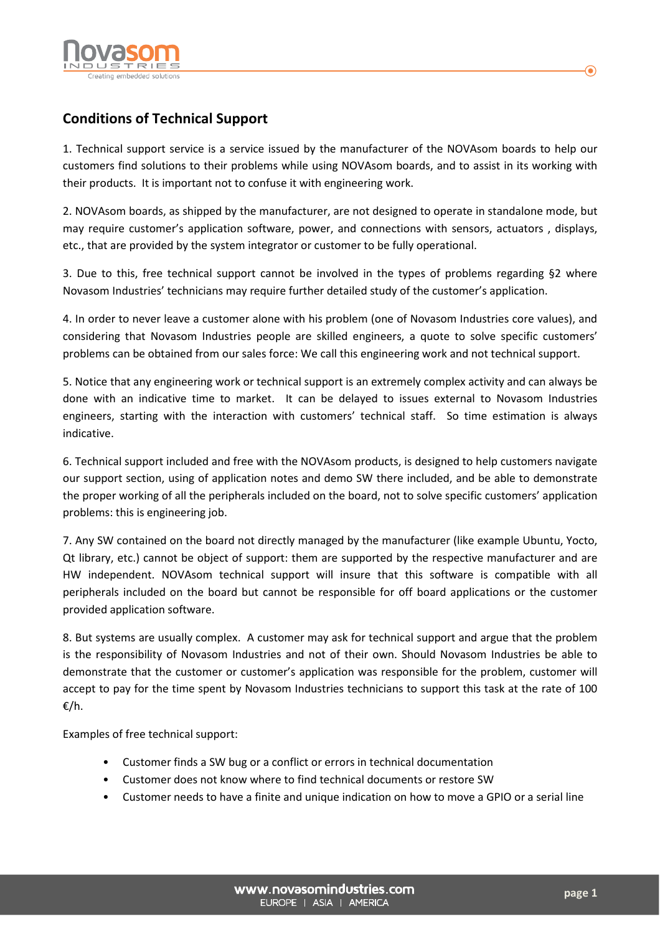

## **Conditions of Technical Support**

1. Technical support service is a service issued by the manufacturer of the NOVAsom boards to help our customers find solutions to their problems while using NOVAsom boards, and to assist in its working with their products. It is important not to confuse it with engineering work.

2. NOVAsom boards, as shipped by the manufacturer, are not designed to operate in standalone mode, but may require customer's application software, power, and connections with sensors, actuators , displays, etc., that are provided by the system integrator or customer to be fully operational.

3. Due to this, free technical support cannot be involved in the types of problems regarding §2 where Novasom Industries' technicians may require further detailed study of the customer's application.

4. In order to never leave a customer alone with his problem (one of Novasom Industries core values), and considering that Novasom Industries people are skilled engineers, a quote to solve specific customers' problems can be obtained from our sales force: We call this engineering work and not technical support.

5. Notice that any engineering work or technical support is an extremely complex activity and can always be done with an indicative time to market. It can be delayed to issues external to Novasom Industries engineers, starting with the interaction with customers' technical staff. So time estimation is always indicative.

6. Technical support included and free with the NOVAsom products, is designed to help customers navigate our support section, using of application notes and demo SW there included, and be able to demonstrate the proper working of all the peripherals included on the board, not to solve specific customers' application problems: this is engineering job.

7. Any SW contained on the board not directly managed by the manufacturer (like example Ubuntu, Yocto, Qt library, etc.) cannot be object of support: them are supported by the respective manufacturer and are HW independent. NOVAsom technical support will insure that this software is compatible with all peripherals included on the board but cannot be responsible for off board applications or the customer provided application software.

8. But systems are usually complex. A customer may ask for technical support and argue that the problem is the responsibility of Novasom Industries and not of their own. Should Novasom Industries be able to demonstrate that the customer or customer's application was responsible for the problem, customer will accept to pay for the time spent by Novasom Industries technicians to support this task at the rate of 100 €/h.

Examples of free technical support:

- Customer finds a SW bug or a conflict or errors in technical documentation
- Customer does not know where to find technical documents or restore SW
- Customer needs to have a finite and unique indication on how to move a GPIO or a serial line

 $\bf O$